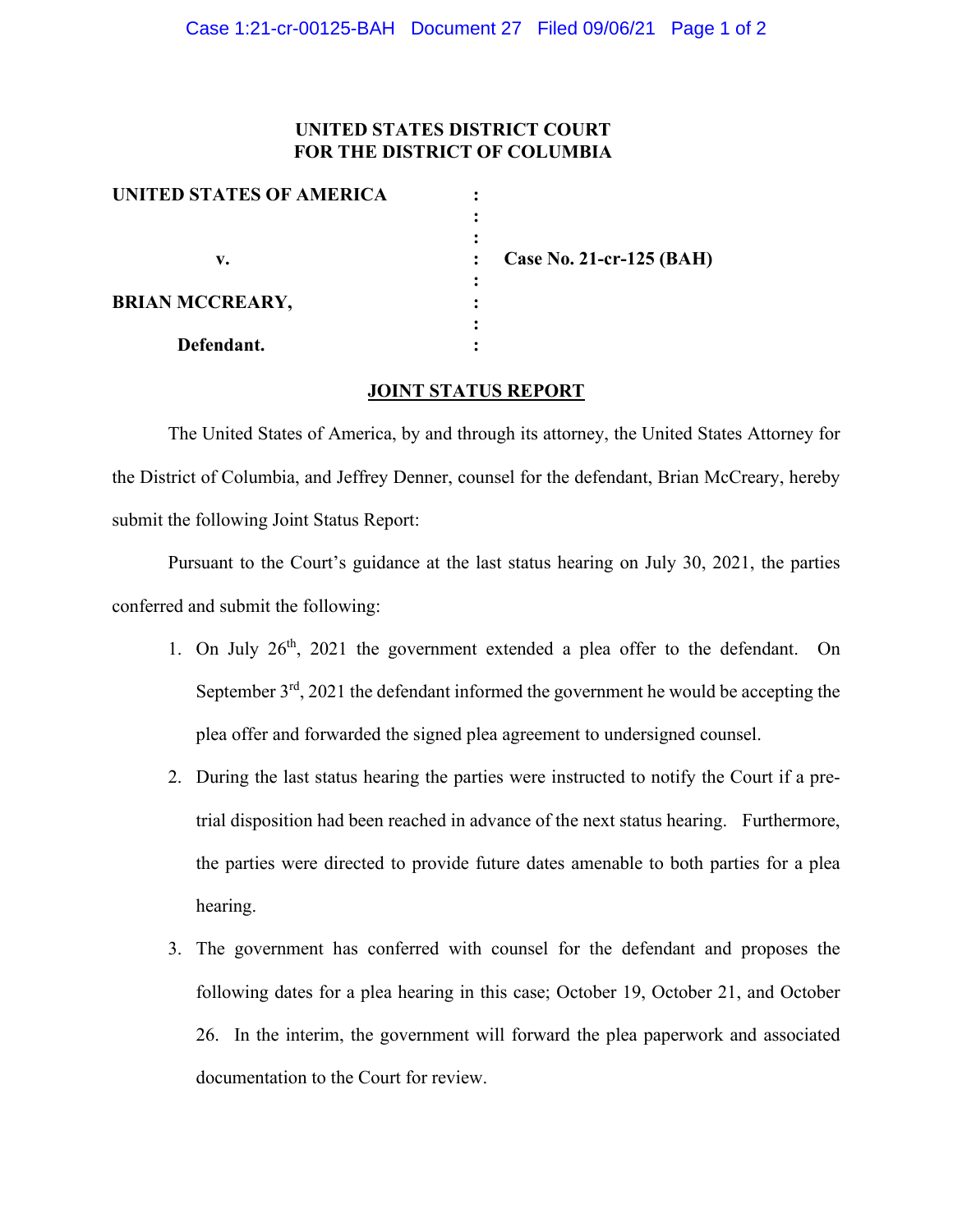## **UNITED STATES DISTRICT COURT FOR THE DISTRICT OF COLUMBIA**

| UNITED STATES OF AMERICA |                          |
|--------------------------|--------------------------|
|                          |                          |
|                          |                          |
| v.                       | Case No. 21-cr-125 (BAH) |
|                          |                          |
| <b>BRIAN MCCREARY,</b>   |                          |
|                          |                          |
| Defendant.               |                          |

## **JOINT STATUS REPORT**

The United States of America, by and through its attorney, the United States Attorney for the District of Columbia, and Jeffrey Denner, counsel for the defendant, Brian McCreary, hereby submit the following Joint Status Report:

Pursuant to the Court's guidance at the last status hearing on July 30, 2021, the parties conferred and submit the following:

- 1. On July  $26<sup>th</sup>$ , 2021 the government extended a plea offer to the defendant. On September  $3<sup>rd</sup>$ , 2021 the defendant informed the government he would be accepting the plea offer and forwarded the signed plea agreement to undersigned counsel.
- 2. During the last status hearing the parties were instructed to notify the Court if a pretrial disposition had been reached in advance of the next status hearing. Furthermore, the parties were directed to provide future dates amenable to both parties for a plea hearing.
- 3. The government has conferred with counsel for the defendant and proposes the following dates for a plea hearing in this case; October 19, October 21, and October 26. In the interim, the government will forward the plea paperwork and associated documentation to the Court for review.